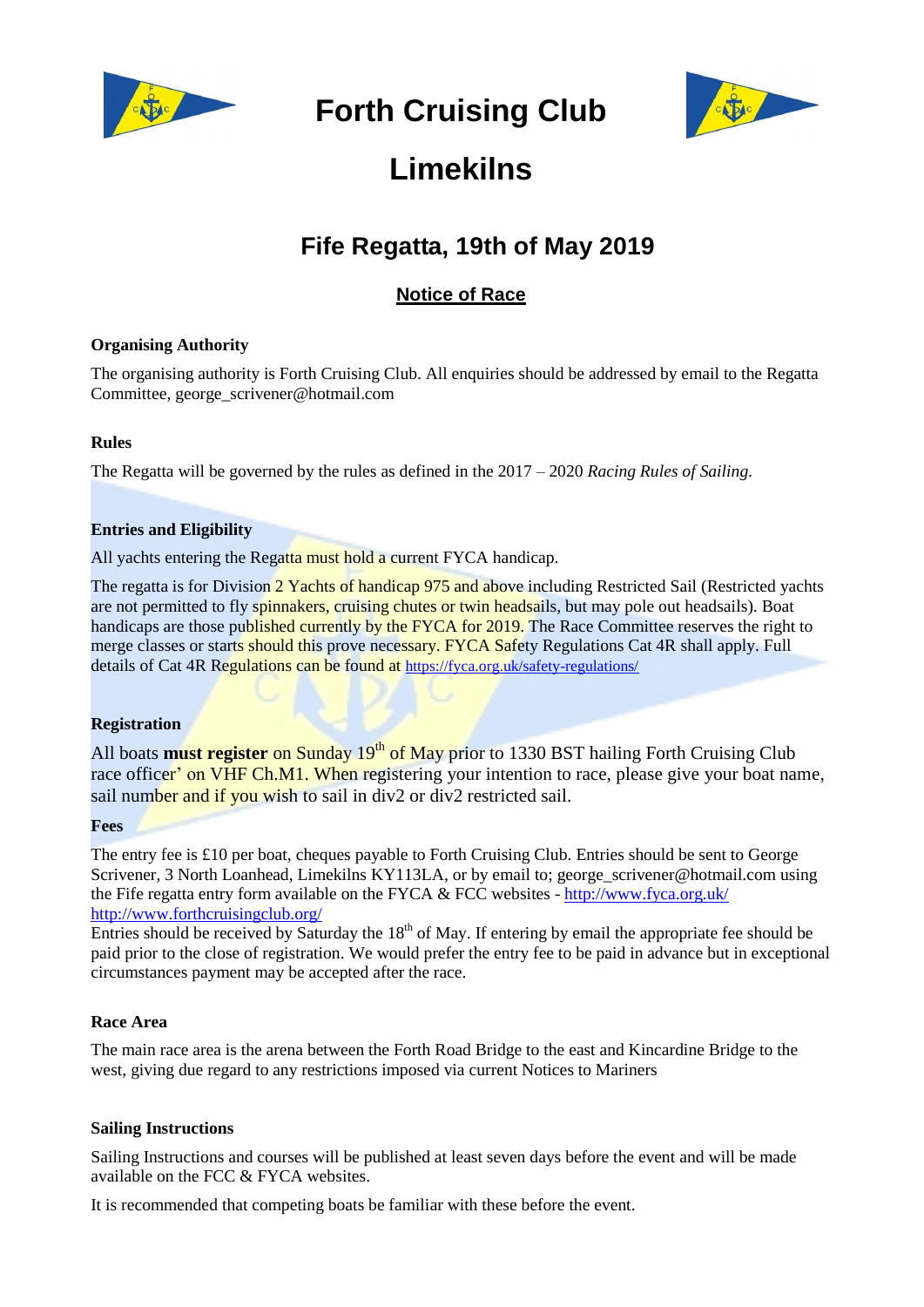

**Forth Cruising Club**



# **Limekilns**

## **Fife Regatta, 19th of May 2019**

### **Notice of Race**

#### **Organising Authority**

The organising authority is Forth Cruising Club. All enquiries should be addressed by email to the Regatta Committee, george\_scrivener@hotmail.com

#### **Rules**

The Regatta will be governed by the rules as defined in the 2017 – 2020 *Racing Rules of Sailing*.

#### **Entries and Eligibility**

All yachts entering the Regatta must hold a current FYCA handicap.

The regatta is for Division 2 Yachts of handicap 975 and above including Restricted Sail (Restricted yachts are not permitted to fly spinnakers, cruising chutes or twin headsails, but may pole out headsails). Boat handicaps are those published currently by the FYCA for 2019. The Race Committee reserves the right to merge classes or starts should this prove necessary. FYCA Safety Regulations Cat 4R shall apply. Full details of Cat 4R Regulations can be found at <https://fyca.org.uk/safety-regulations/>

#### **Registration**

All boats **must register** on Sunday 19<sup>th</sup> of May prior to 1330 BST hailing Forth Cruising Club race officer' on VHF Ch.M1. When registering your intention to race, please give your boat name, sail number and if you wish to sail in div2 or div2 restricted sail.

#### **Fees**

The entry fee is £10 per boat, cheques payable to Forth Cruising Club. Entries should be sent to George Scrivener, 3 North Loanhead, Limekilns KY113LA, or by email to; george\_scrivener@hotmail.com using the Fife regatta entry form available on the FYCA & FCC websites - <http://www.fyca.org.uk/> <http://www.forthcruisingclub.org/>

Entries should be received by Saturday the  $18<sup>th</sup>$  of May. If entering by email the appropriate fee should be paid prior to the close of registration. We would prefer the entry fee to be paid in advance but in exceptional circumstances payment may be accepted after the race.

#### **Race Area**

The main race area is the arena between the Forth Road Bridge to the east and Kincardine Bridge to the west, giving due regard to any restrictions imposed via current Notices to Mariners

#### **Sailing Instructions**

Sailing Instructions and courses will be published at least seven days before the event and will be made available on the FCC & FYCA websites.

It is recommended that competing boats be familiar with these before the event.